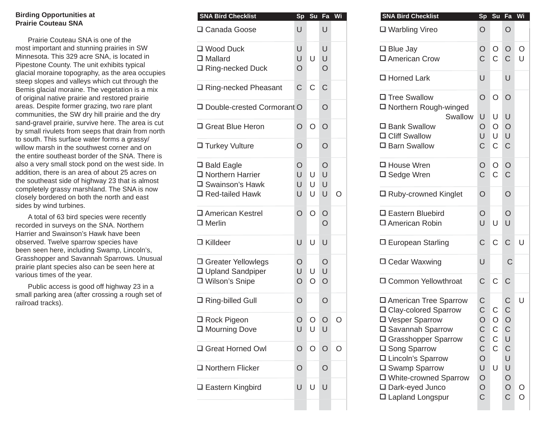## **Birding Opportunities at Prairie Couteau SNA**

Prairie Couteau SNA is one of the most important and stunning prairies in SW Minnesota. This 329 acre SNA, is located in Pipestone County. The unit exhibits typical glacial moraine topography, as the area occupies steep slopes and valleys which cut through the Bemis glacial moraine. The vegetation is a mix of original native prairie and restored prairie areas. Despite former grazing, two rare plant communities, the SW dry hill prairie and the dry sand-gravel prairie, survive here. The area is cut by small rivulets from seeps that drain from north to south. This surface water forms a grassy/ willow marsh in the southwest corner and on the entire southeast border of the SNA. There is also a very small stock pond on the west side. In addition, there is an area of about 25 acres on the southeast side of highway 23 that is almost completely grassy marshland. The SNA is now closely bordered on both the north and east sides by wind turbines.

A total of 63 bird species were recently recorded in surveys on the SNA. Northern Harrier and Swainson's Hawk have been observed. Twelve sparrow species have been seen here, including Swamp, Lincoln's, Grasshopper and Savannah Sparrows. Unusual prairie plant species also can be seen here at various times of the year.

Public access is good off highway 23 in a small parking area (after crossing a rough set of railroad tracks).

| <b>SNA Bird Checklist</b>                                                                 | Sp                            | Su           | Fa                        | Wi |
|-------------------------------------------------------------------------------------------|-------------------------------|--------------|---------------------------|----|
| □ Canada Goose                                                                            | U                             |              | U                         |    |
| □ Wood Duck<br>$\Box$ Mallard<br>□ Ring-necked Duck                                       | U<br>U<br>O                   | U            | U<br>U<br>O               |    |
| □ Ring-necked Pheasant                                                                    | C                             | C            | Ć                         |    |
| □ Double-crested Cormorant O                                                              |                               |              | O                         |    |
| 口 Great Blue Heron                                                                        | O                             | $\circ$      | $\overline{O}$            |    |
| □ Turkey Vulture                                                                          | O                             |              | O                         |    |
| $\square$ Bald Eagle<br>□ Northern Harrier<br>□ Swainson's Hawk<br>$\Box$ Red-tailed Hawk | $\overline{O}$<br>U<br>U<br>U | U<br>U<br>U  | O<br>U<br>U<br>U          |    |
| □ American Kestrel<br>$\square$ Merlin                                                    | O                             | $\circ$      | $\circ$<br>$\overline{O}$ |    |
| □ Killdeer                                                                                | U                             | U            | U                         |    |
| □ Greater Yellowlegs<br>□ Upland Sandpiper<br>□ Wilson's Snipe                            | O<br>U<br>$\overline{O}$      | U<br>$\circ$ | O<br>U<br>$\overline{O}$  |    |
| □ Ring-billed Gull                                                                        | O                             |              | $\overline{O}$            |    |
| □ Rock Pigeon<br>□ Mourning Dove                                                          | $\circ$<br>U                  | O<br>U       | U                         |    |
| 口 Great Horned Owl                                                                        | O                             | $\circ$      | O                         | O  |
| □ Northern Flicker                                                                        | O                             |              | O                         |    |
| □ Eastern Kingbird                                                                        | U                             | U            | U                         |    |

| <b>SNA Bird Checklist</b>                                             | <b>Sp</b>      | Su Fa        |                        | Wi      |
|-----------------------------------------------------------------------|----------------|--------------|------------------------|---------|
| J Canada Goose                                                        | U              |              | U                      |         |
| I Wood Duck<br>I Mallard<br>Ring-necked Duck                          | U<br>U<br>O    | $\cup$       | U<br>$\cup$<br>$\circ$ |         |
|                                                                       |                |              |                        |         |
| Ring-necked Pheasant                                                  | $\mathsf C$    | $\mathsf C$  | $\mathsf C$            |         |
| <b>J</b> Double-crested Cormorant O                                   |                |              | $\circ$                |         |
| I Great Blue Heron                                                    | $\circ$        | $\circ$      | $\circ$                |         |
| I Turkey Vulture                                                      | $\overline{O}$ |              | $\overline{O}$         |         |
| <b>J</b> Bald Eagle<br>I Northern Harrier<br><b>J</b> Swainson's Hawk | O<br>U<br>U    | $\cup$<br>U  | $\circ$<br>U<br>U      |         |
| Red-tailed Hawk                                                       | U              | U            | $\cup$                 | $\circ$ |
| I American Kestrel<br>I Merlin                                        | $\overline{O}$ | $\circ$      | $\circ$<br>$\circ$     |         |
| I Killdeer                                                            | U              | U            | $\cup$                 |         |
| I Greater Yellowlegs<br>Upland Sandpiper                              | O<br>U         | U            | $\circ$<br>$\cup$      |         |
| I Wilson's Snipe                                                      | $\circ$        | $\circ$      | $\circ$                |         |
| Ring-billed Gull                                                      | $\overline{O}$ |              | $\circ$                |         |
| I Rock Pigeon<br>I Mourning Dove                                      | $\circ$<br>U   | $\circ$<br>U | $\circ$<br>U           | O       |
| I Great Horned Owl                                                    | $\circ$        | $\circ$      | $\circ$                | $\circ$ |
| I Northern Flicker                                                    | $\circ$        |              | $\circ$                |         |
| I Eastern Kingbird                                                    | U              | U            | $\cup$                 |         |
|                                                                       |                |              |                        |         |